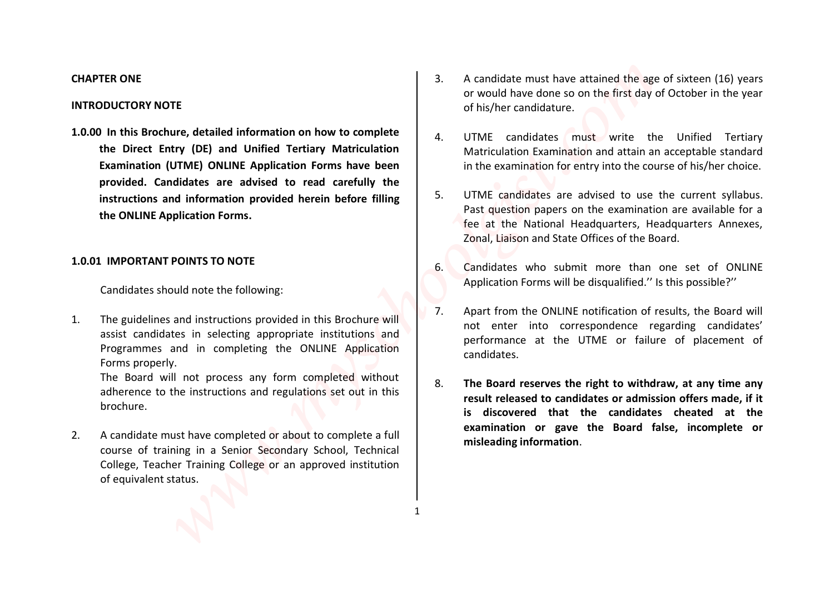**1.0.00 In this Brochure, detailed information on how to complete the Direct Entry (DE) and Unified Tertiary Matriculation Examination (UTME) ONLINE Application Forms have been provided. Candidates are advised to read carefully the instructions and information provided herein before filling the ONLINE Application Forms. ERONE CONSULTERING (STATE)**<br> **EXERCTS AND INSTERSEANT CONSULTERING (STATE) AND CONSULTERING (STATE) AND CONSULTERING (STATE) AND CONSULTERING (STATE) THE CONSULTERING (STATE) AND CONSULTERING (STATE) AND CONSULTERING (STA** 

Candidates should note the following:

1. The guidelines and instructions provided in this Brochure will assist candidates in selecting appropriate institutions and Programmes and in completing the ONLINE Application Forms properly.

The Board will not process any form completed without adherence to the instructions and regulations set out in this brochure.

1

2. A candidate must have completed or about to complete a full course of training in a Senior Secondary School, Technical College, Teacher Training College or an approved institution of equivalent status.

- **CHAPTER ONE** 2. A candidate must have attained the age of sixteen (16) years or would have done so on the first day of October in the year of his/her candidature. **INTRODUCTORY NOTE**
	- 4. UTME candidates must write the Unified Tertiary Matriculation Examination and attain an acceptable standard in the examination for entry into the course of his/her choice.
	- 5. UTME candidates are advised to use the current syllabus. Past question papers on the examination are available for a fee at the National Headquarters, Headquarters Annexes, Zonal, Liaison and State Offices of the Board.
- **1.0.01 IMPORTANT POINTS TO NOTE 1.0.01 IMPORTANT POINTS TO NOTE** Application Forms will be disqualified.'' Is this possible?''
	- 7. Apart from the ONLINE notification of results, the Board will not enter into correspondence regarding candidates' performance at the UTME or failure of placement of candidates.
	- 8. **The Board reserves the right to withdraw, at any time any result released to candidates or admission offers made, if it is discovered that the candidates cheated at the examination or gave the Board false, incomplete or misleading information**.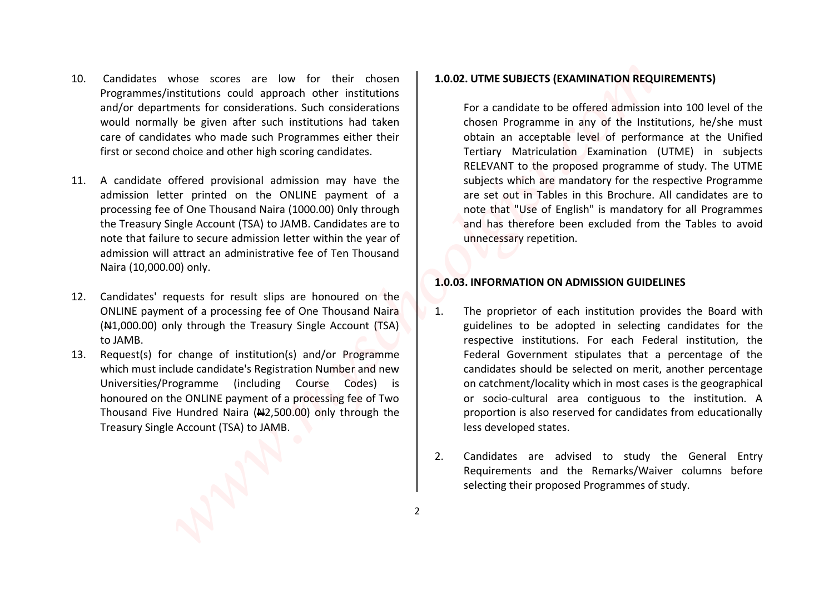- 10. Candidates whose scores are low for their chosen Programmes/institutions could approach other institutions and/or departments for considerations. Such considerations would normally be given after such institutions had taken care of candidates who made such Programmes either their first or second choice and other high scoring candidates.
- 11. A candidate offered provisional admission may have the admission letter printed on the ONLINE payment of a processing fee of One Thousand Naira (1000.00) 0nly through the Treasury Single Account (TSA) to JAMB. Candidates are to note that failure to secure admission letter within the year of admission will attract an administrative fee of Ten Thousand Naira (10,000.00) only.
- 12. Candidates' requests for result slips are honoured on the ONLINE payment of a processing fee of One Thousand Naira  $(A41,000.00)$  only through the Treasury Single Account (TSA) to JAMB.
- 13. Request(s) for change of institution(s) and/or Programme which must include candidate's Registration Number and new Universities/Programme (including Course Codes) is honoured on the ONLINE payment of a processing fee of Two Thousand Five Hundred Naira  $(42,500.00)$  only through the Treasury Single Account (TSA) to JAMB.

## **1.0.02. UTME SUBJECTS (EXAMINATION REQUIREMENTS)**

For a candidate to be offered admission into 100 level of the chosen Programme in any of the Institutions, he/she must obtain an acceptable level of performance at the Unified Tertiary Matriculation Examination (UTME) in subjects RELEVANT to the proposed programme of study. The UTME subjects which are mandatory for the respective Programme are set out in Tables in this Brochure. All candidates are to note that "Use of English" is mandatory for all Programmes and has therefore been excluded from the Tables to avoid unnecessary repetition. Constrained whose scores are low for their chosen **1.0.02. UTME SUBJECTS (EXAMINATION REQUIREMENTS)**<br>
constructions (example the considered to produce the considered to be determined for comparison to comparison the constr

#### **1.0.03. INFORMATION ON ADMISSION GUIDELINES**

- 1. The proprietor of each institution provides the Board with guidelines to be adopted in selecting candidates for the respective institutions. For each Federal institution, the Federal Government stipulates that a percentage of the candidates should be selected on merit, another percentage on catchment/locality which in most cases is the geographical or socio-cultural area contiguous to the institution. A proportion is also reserved for candidates from educationally less developed states.
- 2. Candidates are advised to study the General Entry Requirements and the Remarks/Waiver columns before selecting their proposed Programmes of study.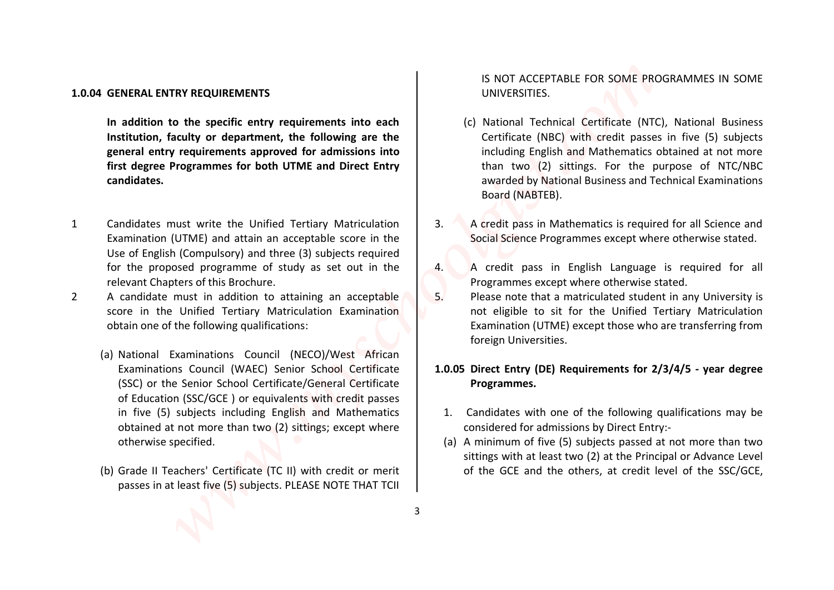### **1.0.04 GENERAL ENTRY REQUIREMENTS** UNIVERSITIES.

**In addition to the specific entry requirements into each Institution, faculty or department, the following are the general entry requirements approved for admissions into first degree Programmes for both UTME and Direct Entry candidates.**

- 1 Candidates must write the Unified Tertiary Matriculation Examination (UTME) and attain an acceptable score in the Use of English (Compulsory) and three (3) subjects required for the proposed programme of study as set out in the relevant Chapters of this Brochure.
- 2 A candidate must in addition to attaining an acceptable score in the Unified Tertiary Matriculation Examination obtain one of the following qualifications:
- (a) National Examinations Council (NECO)/West African Examinations Council (WAEC) Senior School Certificate (SSC) or the Senior School Certificate/General Certificate of Education (SSC/GCE ) or equivalents with credit passes in five (5) subjects including English and Mathematics obtained at not more than two (2) sittings; except where otherwise specified. **GENERAL ENTRY REQUIREMENTS**<br> **WATER CONSULTER THE CHARGE CONSULTER CONSULTER CONSULTER CONSULTER CONSULTER CONSULTER (C) NATIONAL INCOLUSION CONSULTER CONSULTER CONSULTER CONSULTER CONSULTER CONSULTER CONSULTER CONSULTER** 
	- passes in at least five (5) subjects. PLEASE NOTE THAT TCII

IS NOT ACCEPTABLE FOR SOME PROGRAMMES IN SOME

- (c) National Technical Certificate (NTC), National Business Certificate (NBC) with credit passes in five (5) subjects including English and Mathematics obtained at not more than two (2) sittings. For the purpose of NTC/NBC awarded by National Business and Technical Examinations Board (NABTEB).
- 3. A credit pass in Mathematics is required for all Science and Social Science Programmes except where otherwise stated.
- 4. A credit pass in English Language is required for all Programmes except where otherwise stated.
- 5. Please note that a matriculated student in any University is not eligible to sit for the Unified Tertiary Matriculation Examination (UTME) except those who are transferring from foreign Universities.

# **1.0.05 Direct Entry (DE) Requirements for 2/3/4/5 - year degree Programmes.**

- 1. Candidates with one of the following qualifications may be considered for admissions by Direct Entry:-
- (a) A minimum of five (5) subjects passed at not more than two sittings with at least two (2) at the Principal or Advance Level (b) Grade II Teachers' Certificate (TC II) with credit or merit | of the GCE and the others, at credit level of the SSC/GCE,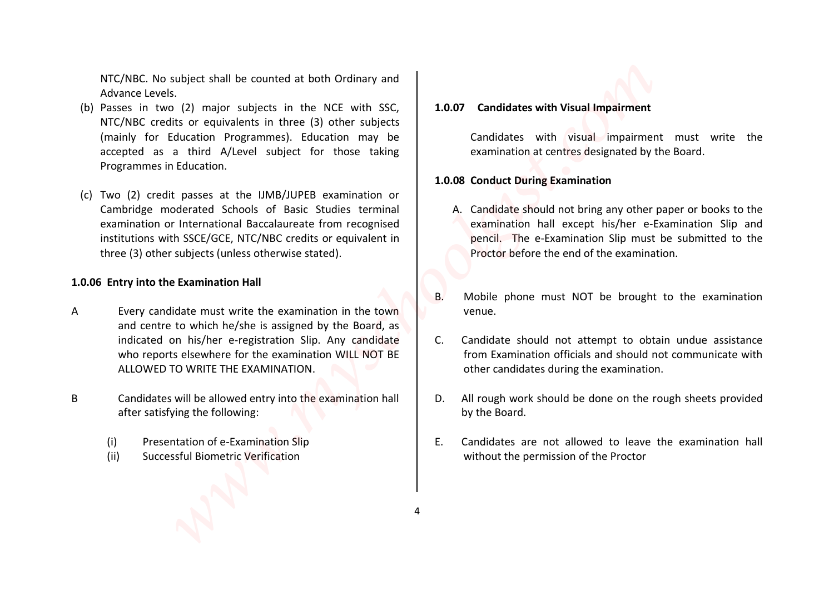NTC/NBC. No subject shall be counted at both Ordinary and Advance Levels.

- (b) Passes in two (2) major subjects in the NCE with SSC, NTC/NBC credits or equivalents in three (3) other subjects (mainly for Education Programmes). Education may be accepted as a third A/Level subject for those taking Programmes in Education. **FCANC.** No subject shall be counted at both Colmany and<br>
susses in Two (2) major subjects in the NCE with SSC,<br> **EXARC** Credits or equivalents in three (3) other subjects<br>
rating for the subjects of the Value of the Colum
- (c) Two (2) credit passes at the IJMB/JUPEB examination or Cambridge moderated Schools of Basic Studies terminal examination or International Baccalaureate from recognised institutions with SSCE/GCE, NTC/NBC credits or equivalent in three (3) other subjects (unless otherwise stated).

### **1.0.06 Entry into the Examination Hall**

- A Every candidate must write the examination in the town and centre to which he/she is assigned by the Board, as indicated on his/her e-registration Slip. Any candidate who reports elsewhere for the examination WILL NOT BE ALLOWED TO WRITE THE EXAMINATION.
- B Candidates will be allowed entry into the examination hall after satisfying the following:
	-
	-

# **1.0.07 Candidates with Visual Impairment**

Candidates with visual impairment must write the examination at centres designated by the Board.

### **1.0.08 Conduct During Examination**

- A. Candidate should not bring any other paper or books to the examination hall except his/her e-Examination Slip and pencil. The e-Examination Slip must be submitted to the Proctor before the end of the examination.
- B. Mobile phone must NOT be brought to the examination
- C. Candidate should not attempt to obtain undue assistance from Examination officials and should not communicate with other candidates during the examination.
- D. All rough work should be done on the rough sheets provided by the Board.
- (i) Presentation of e-Examination Slip E. Candidates are not allowed to leave the examination hall (ii) Successful Biometric Verification extended to the permission of the Proctor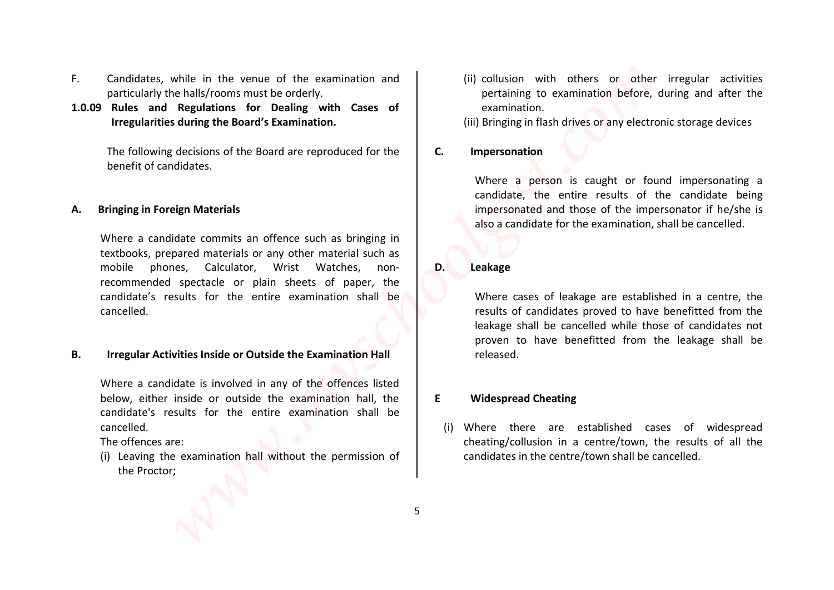- F. Candidates, while in the venue of the examination and particularly the halls/rooms must be orderly.
- **1.0.09 Rules and Regulations for Dealing with Cases of discussion and examination. Irregularities during the Board's Examination.** (iii) Bringing in flash drives or any electronic storage devices

The following decisions of the Board are reproduced for the benefit of candidates.

### **A. Bringing in Foreign Materials**

Where a candidate commits an offence such as bringing in textbooks, prepared materials or any other material such as mobile phones, Calculator, Wrist Watches, nonrecommended spectacle or plain sheets of paper, the candidate's results for the entire examination shall be cancelled. Cradidates, while in the wanne of the examination and<br>
particularly the half-froms must be codedy.<br>
particularly the band of commindion,<br> **The following decisions of the Board are reproduced for the same intervalse and Reg** 

**B. Irregular Activities Inside or Outside the Examination Hall Figure 1 Property released.** 

Where a candidate is involved in any of the offences listed below, either inside or outside the examination hall, the candidate's results for the entire examination shall be cancelled.

The offences are:

(i) Leaving the examination hall without the permission of the Proctor;

- (ii) collusion with others or other irregular activities pertaining to examination before, during and after the
- 
- **C. Impersonation**

Where a person is caught or found impersonating a candidate, the entire results of the candidate being impersonated and those of the impersonator if he/she is also a candidate for the examination, shall be cancelled.

**D. Leakage**

Where cases of leakage are established in a centre, the results of candidates proved to have benefitted from the leakage shall be cancelled while those of candidates not proven to have benefitted from the leakage shall be

### **E Widespread Cheating**

(i) Where there are established cases of widespread cheating/collusion in a centre/town, the results of all the candidates in the centre/town shall be cancelled.